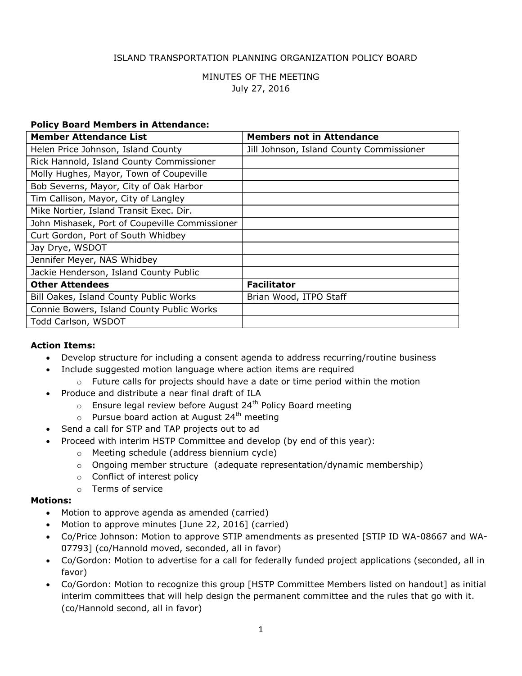### ISLAND TRANSPORTATION PLANNING ORGANIZATION POLICY BOARD

## MINUTES OF THE MEETING July 27, 2016

#### **Policy Board Members in Attendance:**

| <b>Member Attendance List</b>                  | <b>Members not in Attendance</b>         |
|------------------------------------------------|------------------------------------------|
| Helen Price Johnson, Island County             | Jill Johnson, Island County Commissioner |
| Rick Hannold, Island County Commissioner       |                                          |
| Molly Hughes, Mayor, Town of Coupeville        |                                          |
| Bob Severns, Mayor, City of Oak Harbor         |                                          |
| Tim Callison, Mayor, City of Langley           |                                          |
| Mike Nortier, Island Transit Exec. Dir.        |                                          |
| John Mishasek, Port of Coupeville Commissioner |                                          |
| Curt Gordon, Port of South Whidbey             |                                          |
| Jay Drye, WSDOT                                |                                          |
| Jennifer Meyer, NAS Whidbey                    |                                          |
| Jackie Henderson, Island County Public         |                                          |
| <b>Other Attendees</b>                         | <b>Facilitator</b>                       |
| Bill Oakes, Island County Public Works         | Brian Wood, ITPO Staff                   |
| Connie Bowers, Island County Public Works      |                                          |
| Todd Carlson, WSDOT                            |                                          |

#### **Action Items:**

- Develop structure for including a consent agenda to address recurring/routine business
- Include suggested motion language where action items are required
	- $\circ$  Future calls for projects should have a date or time period within the motion
- Produce and distribute a near final draft of ILA
	- $\circ$  Ensure legal review before August 24<sup>th</sup> Policy Board meeting
	- $\circ$  Pursue board action at August 24<sup>th</sup> meeting
- Send a call for STP and TAP projects out to ad
- Proceed with interim HSTP Committee and develop (by end of this year):
	- o Meeting schedule (address biennium cycle)
	- o Ongoing member structure (adequate representation/dynamic membership)
	- o Conflict of interest policy
	- o Terms of service

#### **Motions:**

- Motion to approve agenda as amended (carried)
- Motion to approve minutes [June 22, 2016] (carried)
- Co/Price Johnson: Motion to approve STIP amendments as presented [STIP ID WA-08667 and WA-07793] (co/Hannold moved, seconded, all in favor)
- Co/Gordon: Motion to advertise for a call for federally funded project applications (seconded, all in favor)
- Co/Gordon: Motion to recognize this group [HSTP Committee Members listed on handout] as initial interim committees that will help design the permanent committee and the rules that go with it. (co/Hannold second, all in favor)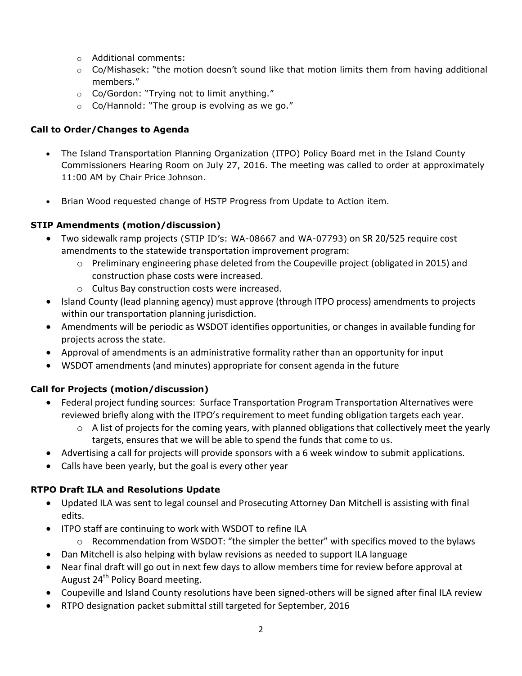- o Additional comments:
- $\circ$  Co/Mishasek: "the motion doesn't sound like that motion limits them from having additional members."
- o Co/Gordon: "Trying not to limit anything."
- $\circ$  Co/Hannold: "The group is evolving as we go."

## **Call to Order/Changes to Agenda**

- The Island Transportation Planning Organization (ITPO) Policy Board met in the Island County Commissioners Hearing Room on July 27, 2016. The meeting was called to order at approximately 11:00 AM by Chair Price Johnson.
- Brian Wood requested change of HSTP Progress from Update to Action item.

# **STIP Amendments (motion/discussion)**

- Two sidewalk ramp projects (STIP ID's: WA-08667 and WA-07793) on SR 20/525 require cost amendments to the statewide transportation improvement program:
	- $\circ$  Preliminary engineering phase deleted from the Coupeville project (obligated in 2015) and construction phase costs were increased.
	- o Cultus Bay construction costs were increased.
- Island County (lead planning agency) must approve (through ITPO process) amendments to projects within our transportation planning jurisdiction.
- Amendments will be periodic as WSDOT identifies opportunities, or changes in available funding for projects across the state.
- Approval of amendments is an administrative formality rather than an opportunity for input
- WSDOT amendments (and minutes) appropriate for consent agenda in the future

# **Call for Projects (motion/discussion)**

- Federal project funding sources: Surface Transportation Program Transportation Alternatives were reviewed briefly along with the ITPO's requirement to meet funding obligation targets each year.
	- $\circ$  A list of projects for the coming years, with planned obligations that collectively meet the yearly targets, ensures that we will be able to spend the funds that come to us.
- Advertising a call for projects will provide sponsors with a 6 week window to submit applications.
- Calls have been yearly, but the goal is every other year

## **RTPO Draft ILA and Resolutions Update**

- Updated ILA was sent to legal counsel and Prosecuting Attorney Dan Mitchell is assisting with final edits.
- ITPO staff are continuing to work with WSDOT to refine ILA
	- $\circ$  Recommendation from WSDOT: "the simpler the better" with specifics moved to the bylaws
- Dan Mitchell is also helping with bylaw revisions as needed to support ILA language
- Near final draft will go out in next few days to allow members time for review before approval at August 24<sup>th</sup> Policy Board meeting.
- Coupeville and Island County resolutions have been signed-others will be signed after final ILA review
- RTPO designation packet submittal still targeted for September, 2016